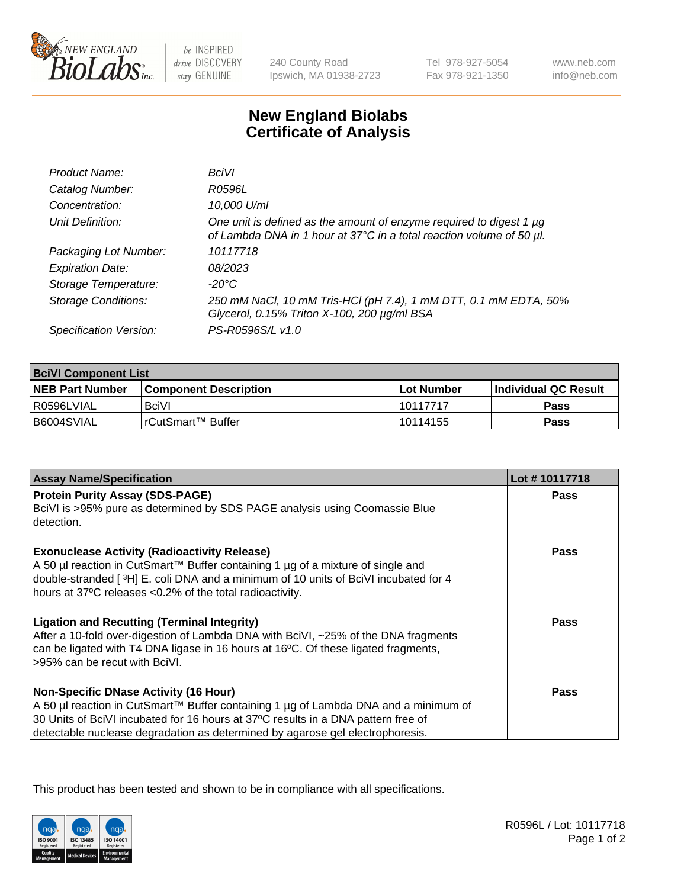

 $be$  INSPIRED drive DISCOVERY stay GENUINE

240 County Road Ipswich, MA 01938-2723 Tel 978-927-5054 Fax 978-921-1350

www.neb.com info@neb.com

## **New England Biolabs Certificate of Analysis**

| Product Name:              | BciVI                                                                                                                                       |
|----------------------------|---------------------------------------------------------------------------------------------------------------------------------------------|
| Catalog Number:            | R0596L                                                                                                                                      |
| Concentration:             | 10,000 U/ml                                                                                                                                 |
| Unit Definition:           | One unit is defined as the amount of enzyme required to digest 1 µg<br>of Lambda DNA in 1 hour at 37°C in a total reaction volume of 50 µl. |
| Packaging Lot Number:      | 10117718                                                                                                                                    |
| <b>Expiration Date:</b>    | 08/2023                                                                                                                                     |
| Storage Temperature:       | -20°C                                                                                                                                       |
| <b>Storage Conditions:</b> | 250 mM NaCl, 10 mM Tris-HCl (pH 7.4), 1 mM DTT, 0.1 mM EDTA, 50%<br>Glycerol, 0.15% Triton X-100, 200 µg/ml BSA                             |
| Specification Version:     | PS-R0596S/L v1.0                                                                                                                            |

| <b>BciVI Component List</b> |                         |              |                             |  |
|-----------------------------|-------------------------|--------------|-----------------------------|--|
| <b>NEB Part Number</b>      | l Component Description | l Lot Number | <b>Individual QC Result</b> |  |
| l R0596LVIAL                | <b>BciVI</b>            | 10117717     | Pass                        |  |
| I B6004SVIAL                | I rCutSmart™ Buffer_    | l 10114155   | Pass                        |  |

| <b>Assay Name/Specification</b>                                                                                                                                                                                                                                                                           | Lot #10117718 |
|-----------------------------------------------------------------------------------------------------------------------------------------------------------------------------------------------------------------------------------------------------------------------------------------------------------|---------------|
| <b>Protein Purity Assay (SDS-PAGE)</b><br>BciVI is >95% pure as determined by SDS PAGE analysis using Coomassie Blue<br>detection.                                                                                                                                                                        | <b>Pass</b>   |
| <b>Exonuclease Activity (Radioactivity Release)</b><br>A 50 µl reaction in CutSmart™ Buffer containing 1 µg of a mixture of single and<br>double-stranded [3H] E. coli DNA and a minimum of 10 units of BciVI incubated for 4<br>hours at 37°C releases <0.2% of the total radioactivity.                 | <b>Pass</b>   |
| <b>Ligation and Recutting (Terminal Integrity)</b><br>After a 10-fold over-digestion of Lambda DNA with BciVI, ~25% of the DNA fragments<br>can be ligated with T4 DNA ligase in 16 hours at 16°C. Of these ligated fragments,<br>>95% can be recut with BciVI.                                           | <b>Pass</b>   |
| <b>Non-Specific DNase Activity (16 Hour)</b><br>A 50 µl reaction in CutSmart™ Buffer containing 1 µg of Lambda DNA and a minimum of<br>30 Units of BciVI incubated for 16 hours at 37°C results in a DNA pattern free of<br>detectable nuclease degradation as determined by agarose gel electrophoresis. | Pass          |

This product has been tested and shown to be in compliance with all specifications.